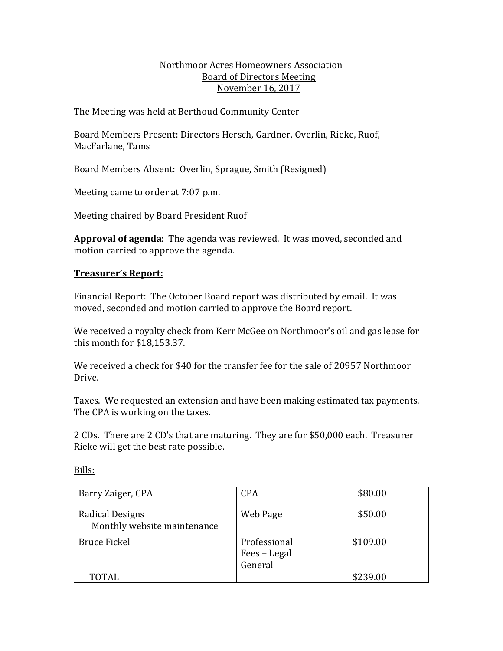#### Northmoor Acres Homeowners Association Board of Directors Meeting November 16, 2017

The Meeting was held at Berthoud Community Center

Board Members Present: Directors Hersch, Gardner, Overlin, Rieke, Ruof, MacFarlane, Tams

Board Members Absent: Overlin, Sprague, Smith (Resigned)

Meeting came to order at 7:07 p.m.

Meeting chaired by Board President Ruof

Approval of agenda: The agenda was reviewed. It was moved, seconded and motion carried to approve the agenda.

# **Treasurer's Report:**

Financial Report: The October Board report was distributed by email. It was moved, seconded and motion carried to approve the Board report.

We received a royalty check from Kerr McGee on Northmoor's oil and gas lease for this month for  $$18.153.37$ .

We received a check for \$40 for the transfer fee for the sale of 20957 Northmoor Drive.

Taxes. We requested an extension and have been making estimated tax payments. The CPA is working on the taxes.

2 CDs. There are 2 CD's that are maturing. They are for \$50,000 each. Treasurer Rieke will get the best rate possible.

Bills:

| Barry Zaiger, CPA                              | <b>CPA</b>                              | \$80.00  |
|------------------------------------------------|-----------------------------------------|----------|
| Radical Designs<br>Monthly website maintenance | Web Page                                | \$50.00  |
| <b>Bruce Fickel</b>                            | Professional<br>Fees - Legal<br>General | \$109.00 |
| TOTAL                                          |                                         | \$239.00 |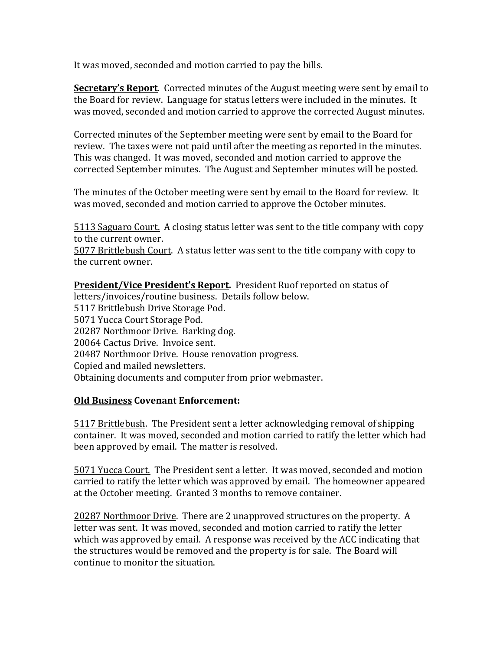It was moved, seconded and motion carried to pay the bills.

**Secretary's Report.** Corrected minutes of the August meeting were sent by email to the Board for review. Language for status letters were included in the minutes. It was moved, seconded and motion carried to approve the corrected August minutes.

Corrected minutes of the September meeting were sent by email to the Board for review. The taxes were not paid until after the meeting as reported in the minutes. This was changed. It was moved, seconded and motion carried to approve the corrected September minutes. The August and September minutes will be posted.

The minutes of the October meeting were sent by email to the Board for review. It was moved, seconded and motion carried to approve the October minutes.

5113 Saguaro Court. A closing status letter was sent to the title company with copy to the current owner.

5077 Brittlebush Court. A status letter was sent to the title company with copy to the current owner.

**President/Vice President's Report.** President Ruof reported on status of letters/invoices/routine business. Details follow below. 5117 Brittlebush Drive Storage Pod. 5071 Yucca Court Storage Pod. 20287 Northmoor Drive. Barking dog. 20064 Cactus Drive. Invoice sent. 20487 Northmoor Drive. House renovation progress. Copied and mailed newsletters. Obtaining documents and computer from prior webmaster.

## **Old Business Covenant Enforcement:**

5117 Brittlebush. The President sent a letter acknowledging removal of shipping container. It was moved, seconded and motion carried to ratify the letter which had been approved by email. The matter is resolved.

5071 Yucca Court. The President sent a letter. It was moved, seconded and motion carried to ratify the letter which was approved by email. The homeowner appeared at the October meeting. Granted 3 months to remove container.

20287 Northmoor Drive. There are 2 unapproved structures on the property. A letter was sent. It was moved, seconded and motion carried to ratify the letter which was approved by email. A response was received by the ACC indicating that the structures would be removed and the property is for sale. The Board will continue to monitor the situation.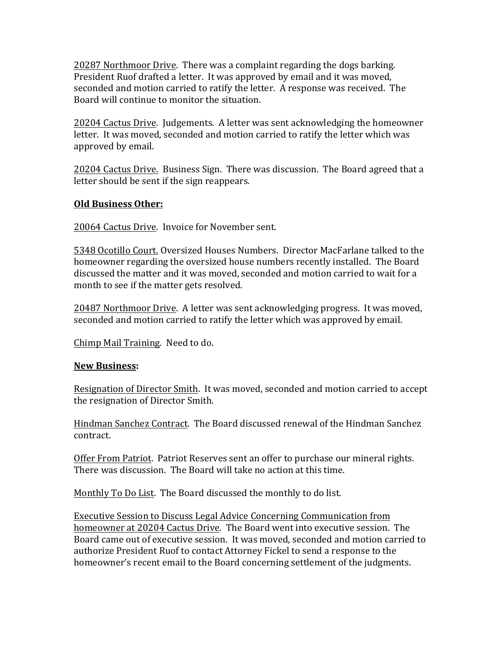20287 Northmoor Drive. There was a complaint regarding the dogs barking. President Ruof drafted a letter. It was approved by email and it was moved, seconded and motion carried to ratify the letter. A response was received. The Board will continue to monitor the situation.

20204 Cactus Drive. Judgements. A letter was sent acknowledging the homeowner letter. It was moved, seconded and motion carried to ratify the letter which was approved by email.

20204 Cactus Drive. Business Sign. There was discussion. The Board agreed that a letter should be sent if the sign reappears.

#### **Old Business Other:**

20064 Cactus Drive. Invoice for November sent.

5348 Ocotillo Court. Oversized Houses Numbers. Director MacFarlane talked to the homeowner regarding the oversized house numbers recently installed. The Board discussed the matter and it was moved, seconded and motion carried to wait for a month to see if the matter gets resolved.

20487 Northmoor Drive. A letter was sent acknowledging progress. It was moved, seconded and motion carried to ratify the letter which was approved by email.

Chimp Mail Training. Need to do.

#### **New Business:**

Resignation of Director Smith. It was moved, seconded and motion carried to accept the resignation of Director Smith.

Hindman Sanchez Contract. The Board discussed renewal of the Hindman Sanchez contract.

Offer From Patriot. Patriot Reserves sent an offer to purchase our mineral rights. There was discussion. The Board will take no action at this time.

Monthly To Do List. The Board discussed the monthly to do list.

Executive Session to Discuss Legal Advice Concerning Communication from homeowner at 20204 Cactus Drive. The Board went into executive session. The Board came out of executive session. It was moved, seconded and motion carried to authorize President Ruof to contact Attorney Fickel to send a response to the homeowner's recent email to the Board concerning settlement of the judgments.